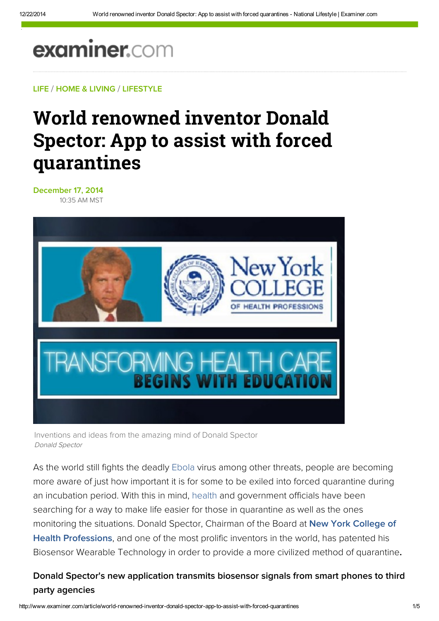# examiner.com

LIF[E](http://www.examiner.com/topic/life) / HO[M](http://www.examiner.com/home-and-living)E & LIVING / LIFEST[Y](http://www.examiner.com/lifestyle)LE

# World renowned inventor Donald Spector: App to assist with forced quarantines

December 17, 2014 1 0:3 5 A M M S T



Inventions and ideas from the amazing mind of Donald Spector Do n a ld Specto r

As the world still fights the deadly Eb[ola](http://www.examiner.com/topic/ebola) virus among other threats, people are becoming more aware of just how important it is for some to be exiled into forced quarantine during an incubation period. With this in mind, he[alt](http://www.examiner.com/topic/health)h and government officials have been searching for a way to make life easier for those in quarantine as well as the ones monitoring the situations. Donald Spector, Chairman of the Board at New York College of Health Professions, and one of the most pr[olific](http://www.nycollege.edu/) inventors in the world, has patented his Biosensor Wearable Technology in order to provide a more civilized method of quarantine.

### Donald Spector's new application transmits biosensor signals from smart phones to third party agencies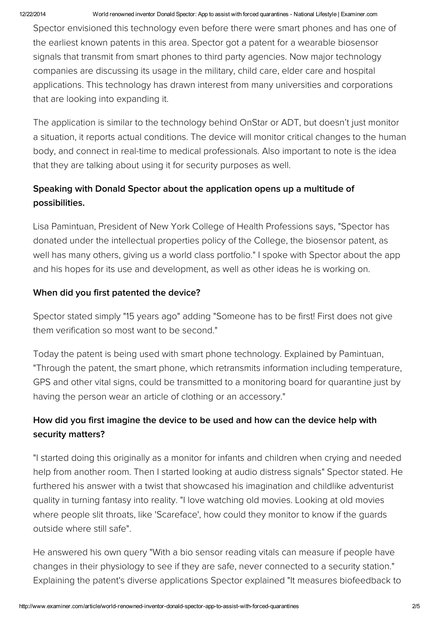Spector envisioned this technology even before there were smart phones and has one of the earliest known patents in this area. Spector got a patent for a wearable biosensor signals that transmit from smart phones to third party agencies. Now major technology companies are discussing its usage in the military, child care, elder care and hospital applications. This technology has drawn interest from many universities and corporations that are looking into expanding it.

The application is similar to the technology behind OnStar or ADT, but doesn't just monitor a situation, it reports actual conditions. The device will monitor critical changes to the human body, and connect in real-time to medical professionals. Also important to note is the idea that they are talking about using it for security purposes as well.

## Speaking with Donald Spector about the application opens up a multitude of possibilities.

Lisa Pamintuan, President of New York College of Health Professions says, "Spector has donated under the intellectual properties policy of the College, the biosensor patent, as well has many others, giving us a world class portfolio." I spoke with Spector about the app and his hopes for its use and development, as well as other ideas he is working on.

#### When did you first patented the device?

Spector stated simply "15 years ago" adding "Someone has to be first! First does not give them verification so most want to be second."

Today the patent is being used with smart phone technology. Explained by Pamintuan, "Through the patent, the smart phone, which retransmits information including temperature, GPS and other vital signs, could be transmitted to a monitoring board for quarantine just by having the person wear an article of clothing or an accessory."

## How did you first imagine the device to be used and how can the device help with security matters?

"I started doing this originally as a monitor for infants and children when crying and needed help from another room. Then I started looking at audio distress signals" Spector stated. He furthered his answer with a twist that showcased his imagination and childlike adventurist quality in turning fantasy into reality. "I love watching old movies. Looking at old movies where people slit throats, like 'Scareface', how could they monitor to know if the guards outside where still safe".

He answered his own query "With a bio sensor reading vitals can measure if people have changes in their physiology to see if they are safe, never connected to a security station." Explaining the patent's diverse applications Spector explained "It measures biofeedback to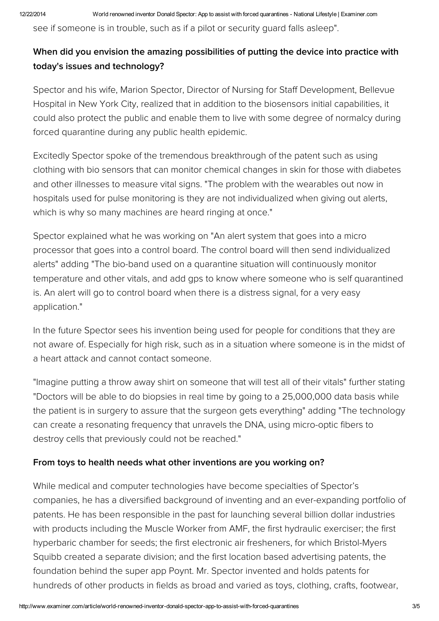see if someone is in trouble, such as if a pilot or security guard falls asleep".

### When did you envision the amazing possibilities of putting the device into practice with today's issues and technology?

Spector and his wife, Marion Spector, Director of Nursing for Staff Development, Bellevue Hospital in New York City, realized that in addition to the biosensors initial capabilities, it could also protect the public and enable them to live with some degree of normalcy during forced quarantine during any public health epidemic.

Excitedly Spector spoke of the tremendous breakthrough of the patent such as using clothing with bio sensors that can monitor chemical changes in skin for those with diabetes and other illnesses to measure vital signs. "The problem with the wearables out now in hospitals used for pulse monitoring is they are not individualized when giving out alerts, which is why so many machines are heard ringing at once."

Spector explained what he was working on "An alert system that goes into a micro processor that goes into a control board. The control board will then send individualized alerts" adding "The bio-band used on a quarantine situation will continuously monitor temperature and other vitals, and add gps to know where someone who is self quarantined is. An alert will go to control board when there is a distress signal, for a very easy application."

In the future Spector sees his invention being used for people for conditions that they are not aware of. Especially for high risk, such as in a situation where someone is in the midst of a heart attack and cannot contact someone.

"Imagine putting a throw away shirt on someone that will test all of their vitals" further stating "Doctors will be able to do biopsies in real time by going to a 25,000,000 data basis while the patient is in surgery to assure that the surgeon gets everything" adding "The technology can create a resonating frequency that unravels the DNA, using micro-optic fibers to destroy cells that previously could not be reached."

#### From toys to health needs what other inventions are you working on?

While medical and computer technologies have become specialties of Spector's companies, he has a diversified background of inventing and an ever-expanding portfolio of patents. He has been responsible in the past for launching several billion dollar industries with products including the Muscle Worker from AMF, the first hydraulic exerciser; the first hyperbaric chamber for seeds; the first electronic air fresheners, for which Bristol-Myers Squibb created a separate division; and the first location based advertising patents, the foundation behind the super app Poynt. Mr. Spector invented and holds patents for hundreds of other products in fields as broad and varied as toys, clothing, crafts, footwear,